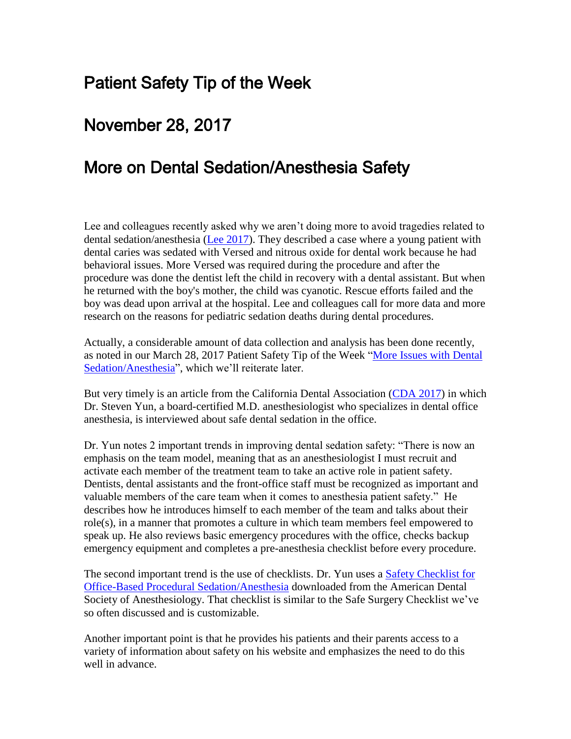# Patient Safety Tip of the Week

## November 28, 2017

## More on Dental Sedation/Anesthesia Safety

Lee and colleagues recently asked why we aren't doing more to avoid tragedies related to dental sedation/anesthesia [\(Lee 2017\)](http://pediatrics.aappublications.org/content/early/2017/11/03/peds.2017-2370?sso=1&sso_redirect_count=1&nfstatus=401&nftoken=00000000-0000-0000-0000-000000000000&nfstatusdescription=ERROR%3a+No+local+token). They described a case where a young patient with dental caries was sedated with Versed and nitrous oxide for dental work because he had behavioral issues. More Versed was required during the procedure and after the procedure was done the dentist left the child in recovery with a dental assistant. But when he returned with the boy's mother, the child was cyanotic. Rescue efforts failed and the boy was dead upon arrival at the hospital. Lee and colleagues call for more data and more research on the reasons for pediatric sedation deaths during dental procedures.

Actually, a considerable amount of data collection and analysis has been done recently, as noted in our March 28, 2017 Patient Safety Tip of the Week ["More Issues with Dental](http://www.patientsafetysolutions.com/docs/March_28_2017_More_Issues_with_Dental_Sedation_Anesthesia.htm)  [Sedation/Anesthesia"](http://www.patientsafetysolutions.com/docs/March_28_2017_More_Issues_with_Dental_Sedation_Anesthesia.htm), which we'll reiterate later.

But very timely is an article from the California Dental Association [\(CDA 2017\)](https://www.cda.org/NewsEvents/Details/tabid/146/ArticleID/4067/Dental-anesthesia-safety-Say-something-if-you-see-something.aspx) in which Dr. Steven Yun, a board-certified M.D. anesthesiologist who specializes in dental office anesthesia, is interviewed about safe dental sedation in the office.

Dr. Yun notes 2 important trends in improving dental sedation safety: "There is now an emphasis on the team model, meaning that as an anesthesiologist I must recruit and activate each member of the treatment team to take an active role in patient safety. Dentists, dental assistants and the front-office staff must be recognized as important and valuable members of the care team when it comes to anesthesia patient safety." He describes how he introduces himself to each member of the team and talks about their role(s), in a manner that promotes a culture in which team members feel empowered to speak up. He also reviews basic emergency procedures with the office, checks backup emergency equipment and completes a pre-anesthesia checklist before every procedure.

The second important trend is the use of checklists. Dr. Yun uses a [Safety Checklist for](https://irp-cdn.multiscreensite.com/f37fe5b3/files/uploaded/ADSAChecklistFINAL%20copy.pdf)  [Office-Based Procedural Sedation/Anesthesia](https://irp-cdn.multiscreensite.com/f37fe5b3/files/uploaded/ADSAChecklistFINAL%20copy.pdf) downloaded from the American Dental Society of Anesthesiology. That checklist is similar to the Safe Surgery Checklist we've so often discussed and is customizable.

Another important point is that he provides his patients and their parents access to a variety of information about safety on his website and emphasizes the need to do this well in advance.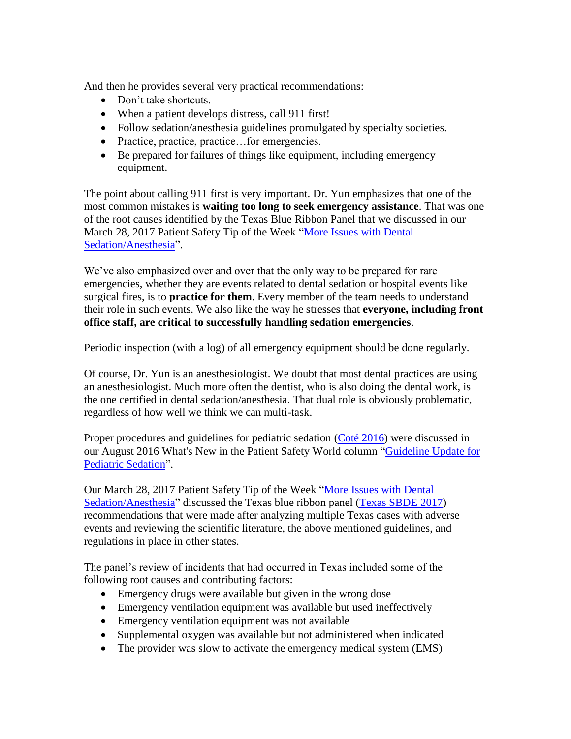And then he provides several very practical recommendations:

- Don't take shortcuts.
- When a patient develops distress, call 911 first!
- Follow sedation/anesthesia guidelines promulgated by specialty societies.
- Practice, practice, practice...for emergencies.
- Be prepared for failures of things like equipment, including emergency equipment.

The point about calling 911 first is very important. Dr. Yun emphasizes that one of the most common mistakes is **waiting too long to seek emergency assistance**. That was one of the root causes identified by the Texas Blue Ribbon Panel that we discussed in our March 28, 2017 Patient Safety Tip of the Week "More Issues with Dental [Sedation/Anesthesia"](http://www.patientsafetysolutions.com/docs/March_28_2017_More_Issues_with_Dental_Sedation_Anesthesia.htm).

We've also emphasized over and over that the only way to be prepared for rare emergencies, whether they are events related to dental sedation or hospital events like surgical fires, is to **practice for them**. Every member of the team needs to understand their role in such events. We also like the way he stresses that **everyone, including front office staff, are critical to successfully handling sedation emergencies**.

Periodic inspection (with a log) of all emergency equipment should be done regularly.

Of course, Dr. Yun is an anesthesiologist. We doubt that most dental practices are using an anesthesiologist. Much more often the dentist, who is also doing the dental work, is the one certified in dental sedation/anesthesia. That dual role is obviously problematic, regardless of how well we think we can multi-task.

Proper procedures and guidelines for pediatric sedation [\(Coté 2016\)](http://pediatrics.aappublications.org/content/138/1/e20161212) were discussed in our August 2016 What's New in the Patient Safety World column "Guideline Update for [Pediatric Sedation"](http://www.patientsafetysolutions.com/docs/August_2016_Guideline_Update_for_Pediatric_Sedation.htm).

Our March 28, 2017 Patient Safety Tip of the Week ["More Issues with Dental](http://www.patientsafetysolutions.com/docs/March_28_2017_More_Issues_with_Dental_Sedation_Anesthesia.htm)  [Sedation/Anesthesia"](http://www.patientsafetysolutions.com/docs/March_28_2017_More_Issues_with_Dental_Sedation_Anesthesia.htm) discussed the Texas blue ribbon panel [\(Texas SBDE 2017\)](https://lintvkxan.files.wordpress.com/2017/01/anesthesia-recommendations-final-report.pdf) recommendations that were made after analyzing multiple Texas cases with adverse events and reviewing the scientific literature, the above mentioned guidelines, and regulations in place in other states.

The panel's review of incidents that had occurred in Texas included some of the following root causes and contributing factors:

- Emergency drugs were available but given in the wrong dose
- Emergency ventilation equipment was available but used ineffectively
- Emergency ventilation equipment was not available
- Supplemental oxygen was available but not administered when indicated
- The provider was slow to activate the emergency medical system (EMS)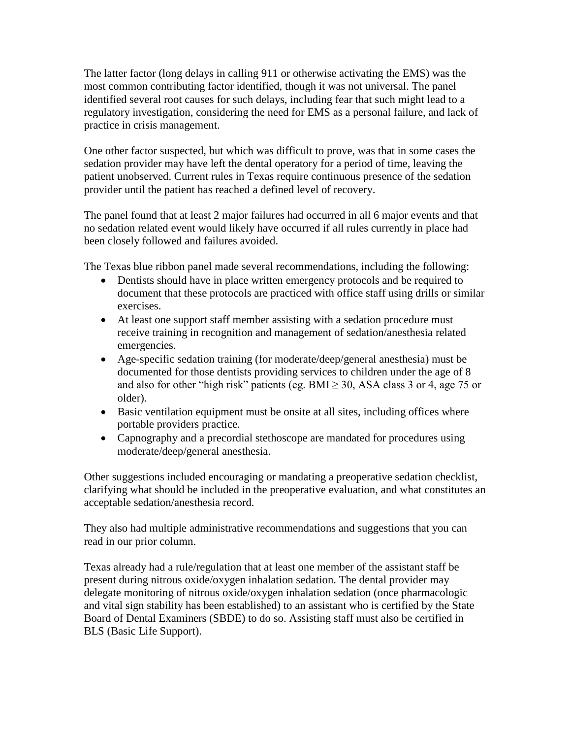The latter factor (long delays in calling 911 or otherwise activating the EMS) was the most common contributing factor identified, though it was not universal. The panel identified several root causes for such delays, including fear that such might lead to a regulatory investigation, considering the need for EMS as a personal failure, and lack of practice in crisis management.

One other factor suspected, but which was difficult to prove, was that in some cases the sedation provider may have left the dental operatory for a period of time, leaving the patient unobserved. Current rules in Texas require continuous presence of the sedation provider until the patient has reached a defined level of recovery.

The panel found that at least 2 major failures had occurred in all 6 major events and that no sedation related event would likely have occurred if all rules currently in place had been closely followed and failures avoided.

The Texas blue ribbon panel made several recommendations, including the following:

- Dentists should have in place written emergency protocols and be required to document that these protocols are practiced with office staff using drills or similar exercises.
- At least one support staff member assisting with a sedation procedure must receive training in recognition and management of sedation/anesthesia related emergencies.
- Age-specific sedation training (for moderate/deep/general anesthesia) must be documented for those dentists providing services to children under the age of 8 and also for other "high risk" patients (eg. BMI  $\geq$  30, ASA class 3 or 4, age 75 or older).
- Basic ventilation equipment must be onsite at all sites, including offices where portable providers practice.
- Capnography and a precordial stethoscope are mandated for procedures using moderate/deep/general anesthesia.

Other suggestions included encouraging or mandating a preoperative sedation checklist, clarifying what should be included in the preoperative evaluation, and what constitutes an acceptable sedation/anesthesia record.

They also had multiple administrative recommendations and suggestions that you can read in our prior column.

Texas already had a rule/regulation that at least one member of the assistant staff be present during nitrous oxide/oxygen inhalation sedation. The dental provider may delegate monitoring of nitrous oxide/oxygen inhalation sedation (once pharmacologic and vital sign stability has been established) to an assistant who is certified by the State Board of Dental Examiners (SBDE) to do so. Assisting staff must also be certified in BLS (Basic Life Support).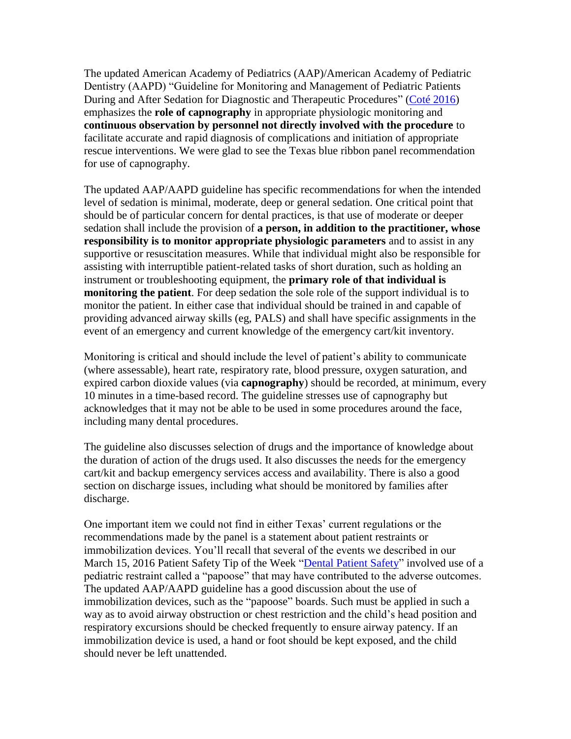The updated American Academy of Pediatrics (AAP)/American Academy of Pediatric Dentistry (AAPD) "Guideline for Monitoring and Management of Pediatric Patients During and After Sedation for Diagnostic and Therapeutic Procedures" [\(Coté 2016\)](http://pediatrics.aappublications.org/content/138/1/e20161212) emphasizes the **role of capnography** in appropriate physiologic monitoring and **continuous observation by personnel not directly involved with the procedure** to facilitate accurate and rapid diagnosis of complications and initiation of appropriate rescue interventions. We were glad to see the Texas blue ribbon panel recommendation for use of capnography.

The updated AAP/AAPD guideline has specific recommendations for when the intended level of sedation is minimal, moderate, deep or general sedation. One critical point that should be of particular concern for dental practices, is that use of moderate or deeper sedation shall include the provision of **a person, in addition to the practitioner, whose responsibility is to monitor appropriate physiologic parameters** and to assist in any supportive or resuscitation measures. While that individual might also be responsible for assisting with interruptible patient-related tasks of short duration, such as holding an instrument or troubleshooting equipment, the **primary role of that individual is monitoring the patient**. For deep sedation the sole role of the support individual is to monitor the patient. In either case that individual should be trained in and capable of providing advanced airway skills (eg, PALS) and shall have specific assignments in the event of an emergency and current knowledge of the emergency cart/kit inventory.

Monitoring is critical and should include the level of patient's ability to communicate (where assessable), heart rate, respiratory rate, blood pressure, oxygen saturation, and expired carbon dioxide values (via **capnography**) should be recorded, at minimum, every 10 minutes in a time-based record. The guideline stresses use of capnography but acknowledges that it may not be able to be used in some procedures around the face, including many dental procedures.

The guideline also discusses selection of drugs and the importance of knowledge about the duration of action of the drugs used. It also discusses the needs for the emergency cart/kit and backup emergency services access and availability. There is also a good section on discharge issues, including what should be monitored by families after discharge.

One important item we could not find in either Texas' current regulations or the recommendations made by the panel is a statement about patient restraints or immobilization devices. You'll recall that several of the events we described in our March 15, 2016 Patient Safety Tip of the Week ["Dental Patient Safety"](http://www.patientsafetysolutions.com/docs/March_15_2016_Dental_Patient_Safety.htm) involved use of a pediatric restraint called a "papoose" that may have contributed to the adverse outcomes. The updated AAP/AAPD guideline has a good discussion about the use of immobilization devices, such as the "papoose" boards. Such must be applied in such a way as to avoid airway obstruction or chest restriction and the child's head position and respiratory excursions should be checked frequently to ensure airway patency. If an immobilization device is used, a hand or foot should be kept exposed, and the child should never be left unattended.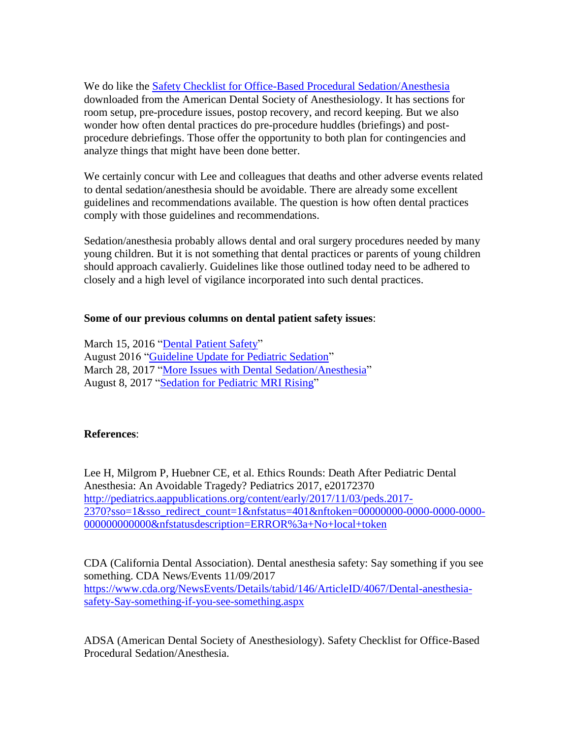We do like the [Safety Checklist for Office-Based Procedural Sedation/Anesthesia](https://irp-cdn.multiscreensite.com/f37fe5b3/files/uploaded/ADSAChecklistFINAL%20copy.pdf) downloaded from the American Dental Society of Anesthesiology. It has sections for room setup, pre-procedure issues, postop recovery, and record keeping. But we also wonder how often dental practices do pre-procedure huddles (briefings) and postprocedure debriefings. Those offer the opportunity to both plan for contingencies and analyze things that might have been done better.

We certainly concur with Lee and colleagues that deaths and other adverse events related to dental sedation/anesthesia should be avoidable. There are already some excellent guidelines and recommendations available. The question is how often dental practices comply with those guidelines and recommendations.

Sedation/anesthesia probably allows dental and oral surgery procedures needed by many young children. But it is not something that dental practices or parents of young children should approach cavalierly. Guidelines like those outlined today need to be adhered to closely and a high level of vigilance incorporated into such dental practices.

#### **Some of our previous columns on dental patient safety issues**:

March 15, 2016 ["Dental Patient Safety"](http://www.patientsafetysolutions.com/docs/March_15_2016_Dental_Patient_Safety.htm) August 2016 ["Guideline Update for Pediatric Sedation"](http://www.patientsafetysolutions.com/docs/August_2016_Guideline_Update_for_Pediatric_Sedation.htm) March 28, 2017 ["More Issues with Dental Sedation/Anesthesia"](http://www.patientsafetysolutions.com/docs/March_28_2017_More_Issues_with_Dental_Sedation_Anesthesia.htm) August 8, 2017 ["Sedation for Pediatric MRI Rising"](http://www.patientsafetysolutions.com/docs/August_8_2017_Sedation_for_Pediatric_MRI_Rising.htm)

#### **References**:

Lee H, Milgrom P, Huebner CE, et al. Ethics Rounds: Death After Pediatric Dental Anesthesia: An Avoidable Tragedy? Pediatrics 2017, e20172370 [http://pediatrics.aappublications.org/content/early/2017/11/03/peds.2017-](http://pediatrics.aappublications.org/content/early/2017/11/03/peds.2017-2370?sso=1&sso_redirect_count=1&nfstatus=401&nftoken=00000000-0000-0000-0000-000000000000&nfstatusdescription=ERROR%3a+No+local+token) [2370?sso=1&sso\\_redirect\\_count=1&nfstatus=401&nftoken=00000000-0000-0000-0000-](http://pediatrics.aappublications.org/content/early/2017/11/03/peds.2017-2370?sso=1&sso_redirect_count=1&nfstatus=401&nftoken=00000000-0000-0000-0000-000000000000&nfstatusdescription=ERROR%3a+No+local+token)0000-[000000000000&nfstatusdescription=ERROR%3a+No+local+token](http://pediatrics.aappublications.org/content/early/2017/11/03/peds.2017-2370?sso=1&sso_redirect_count=1&nfstatus=401&nftoken=00000000-0000-0000-0000-000000000000&nfstatusdescription=ERROR%3a+No+local+token)

CDA (California Dental Association). Dental anesthesia safety: Say something if you see something. CDA News/Events 11/09/2017 [https://www.cda.org/NewsEvents/Details/tabid/146/ArticleID/4067/Dental-anesthesia](https://www.cda.org/NewsEvents/Details/tabid/146/ArticleID/4067/Dental-anesthesia-safety-Say-something-if-you-see-something.aspx)[safety-Say-something-if-you-see-something.aspx](https://www.cda.org/NewsEvents/Details/tabid/146/ArticleID/4067/Dental-anesthesia-safety-Say-something-if-you-see-something.aspx)

ADSA (American Dental Society of Anesthesiology). Safety Checklist for Office-Based Procedural Sedation/Anesthesia.